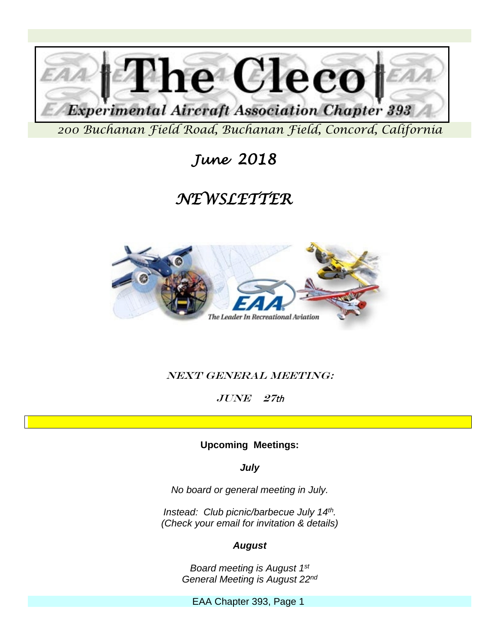

 *June 2018* 

# *NEWSLETTER*



### Next General Meeting:

 $JUNE$   $27th$ 

**Upcoming Meetings:**

*July*

*No board or general meeting in July.*

*Instead: Club picnic/barbecue July 14th. (Check your email for invitation & details)* 

### *August*

*Board meeting is August 1st General Meeting is August 22nd*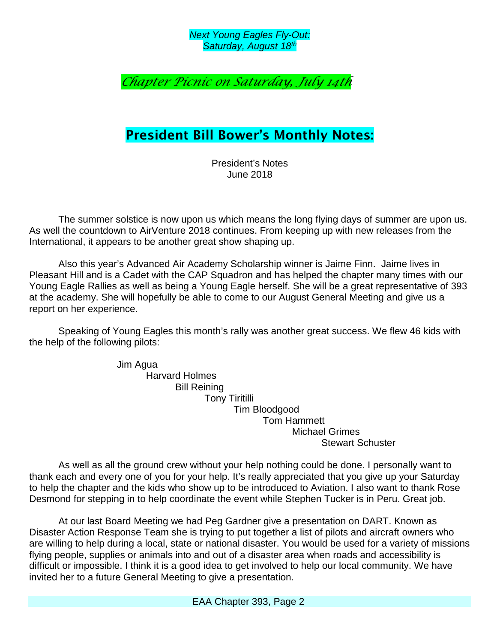*Next Young Eagles Fly-Out: Saturday, August 18th*

## *Chapter Picnic on Saturday, July 14th*

## President Bill Bower's Monthly Notes:

President's Notes June 2018

The summer solstice is now upon us which means the long flying days of summer are upon us. As well the countdown to AirVenture 2018 continues. From keeping up with new releases from the International, it appears to be another great show shaping up.

Also this year's Advanced Air Academy Scholarship winner is Jaime Finn. Jaime lives in Pleasant Hill and is a Cadet with the CAP Squadron and has helped the chapter many times with our Young Eagle Rallies as well as being a Young Eagle herself. She will be a great representative of 393 at the academy. She will hopefully be able to come to our August General Meeting and give us a report on her experience.

Speaking of Young Eagles this month's rally was another great success. We flew 46 kids with the help of the following pilots:

> Jim Agua Harvard Holmes Bill Reining Tony Tiritilli Tim Bloodgood Tom Hammett Michael Grimes Stewart Schuster

As well as all the ground crew without your help nothing could be done. I personally want to thank each and every one of you for your help. It's really appreciated that you give up your Saturday to help the chapter and the kids who show up to be introduced to Aviation. I also want to thank Rose Desmond for stepping in to help coordinate the event while Stephen Tucker is in Peru. Great job.

At our last Board Meeting we had Peg Gardner give a presentation on DART. Known as Disaster Action Response Team she is trying to put together a list of pilots and aircraft owners who are willing to help during a local, state or national disaster. You would be used for a variety of missions flying people, supplies or animals into and out of a disaster area when roads and accessibility is difficult or impossible. I think it is a good idea to get involved to help our local community. We have invited her to a future General Meeting to give a presentation.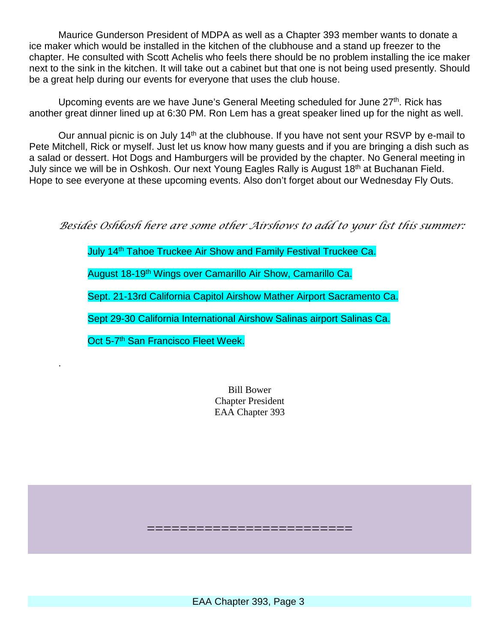Maurice Gunderson President of MDPA as well as a Chapter 393 member wants to donate a ice maker which would be installed in the kitchen of the clubhouse and a stand up freezer to the chapter. He consulted with Scott Achelis who feels there should be no problem installing the ice maker next to the sink in the kitchen. It will take out a cabinet but that one is not being used presently. Should be a great help during our events for everyone that uses the club house.

Upcoming events are we have June's General Meeting scheduled for June 27<sup>th</sup>. Rick has another great dinner lined up at 6:30 PM. Ron Lem has a great speaker lined up for the night as well.

Our annual picnic is on July 14<sup>th</sup> at the clubhouse. If you have not sent your RSVP by e-mail to Pete Mitchell, Rick or myself. Just let us know how many guests and if you are bringing a dish such as a salad or dessert. Hot Dogs and Hamburgers will be provided by the chapter. No General meeting in July since we will be in Oshkosh. Our next Young Eagles Rally is August 18<sup>th</sup> at Buchanan Field. Hope to see everyone at these upcoming events. Also don't forget about our Wednesday Fly Outs.

*Besides Oshkosh here are some other Airshows to add to your list this summer:*

July 14<sup>th</sup> Tahoe Truckee Air Show and Family Festival Truckee Ca.

August 18-19th Wings over Camarillo Air Show, Camarillo Ca.

Sept. 21-13rd California Capitol Airshow Mather Airport Sacramento Ca.

Sept 29-30 California International Airshow Salinas airport Salinas Ca.

Oct 5-7<sup>th</sup> San Francisco Fleet Week.

.

Bill Bower Chapter President EAA Chapter 393

EAA Chapter 393, Page 3

=========================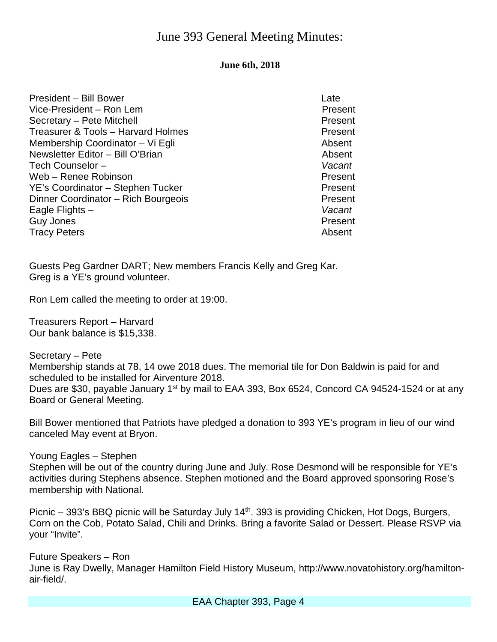## June 393 General Meeting Minutes:

### **June 6th, 2018**

| <b>President - Bill Bower</b>       | Late    |
|-------------------------------------|---------|
| Vice-President - Ron Lem            | Present |
| Secretary - Pete Mitchell           | Present |
| Treasurer & Tools - Harvard Holmes  | Present |
| Membership Coordinator – Vi Egli    | Absent  |
| Newsletter Editor - Bill O'Brian    | Absent  |
| Tech Counselor-                     | Vacant  |
| Web - Renee Robinson                | Present |
| YE's Coordinator - Stephen Tucker   | Present |
| Dinner Coordinator - Rich Bourgeois | Present |
| Eagle Flights -                     | Vacant  |
| Guy Jones                           | Present |
| <b>Tracy Peters</b>                 | Absent  |

Guests Peg Gardner DART; New members Francis Kelly and Greg Kar. Greg is a YE's ground volunteer.

Ron Lem called the meeting to order at 19:00.

Treasurers Report – Harvard Our bank balance is \$15,338.

Secretary – Pete

Membership stands at 78, 14 owe 2018 dues. The memorial tile for Don Baldwin is paid for and scheduled to be installed for Airventure 2018.

Dues are \$30, payable January 1<sup>st</sup> by mail to EAA 393, Box 6524, Concord CA 94524-1524 or at any Board or General Meeting.

Bill Bower mentioned that Patriots have pledged a donation to 393 YE's program in lieu of our wind canceled May event at Bryon.

Young Eagles – Stephen Stephen will be out of the country during June and July. Rose Desmond will be responsible for YE's activities during Stephens absence. Stephen motioned and the Board approved sponsoring Rose's membership with National.

Picnic  $-$  393's BBQ picnic will be Saturday July 14<sup>th</sup>. 393 is providing Chicken, Hot Dogs, Burgers, Corn on the Cob, Potato Salad, Chili and Drinks. Bring a favorite Salad or Dessert. Please RSVP via your "Invite".

Future Speakers – Ron June is Ray Dwelly, Manager Hamilton Field History Museum, http://www.novatohistory.org/hamiltonair-field/.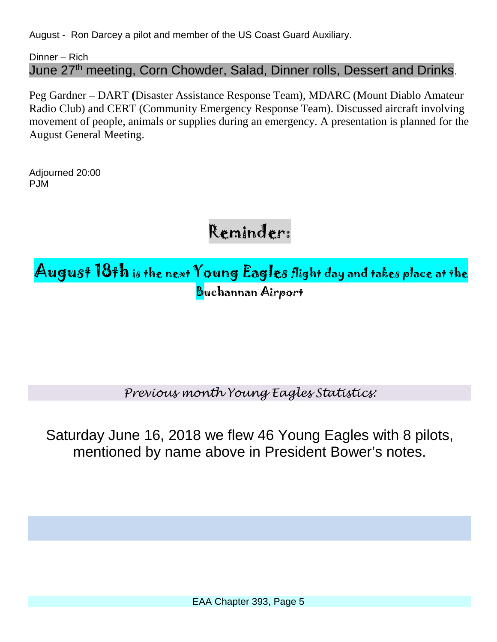August - Ron Darcey a pilot and member of the US Coast Guard Auxiliary.

Dinner – Rich June 27<sup>th</sup> meeting, Corn Chowder, Salad, Dinner rolls, Dessert and Drinks.

Peg Gardner – DART **(**[Disaster Assistance Response Team\)](http://www.forces.gc.ca/en/operations-abroad-recurring/dart.page), MDARC (Mount Diablo Amateur Radio Club) and CERT (Community Emergency Response Team). Discussed aircraft involving movement of people, animals or supplies during an emergency. A presentation is planned for the August General Meeting.

Adjourned 20:00 PJM

Reminder:

August 18th is the next Young Eagles flight day and takes place at the Buchannan Airport

*Previous month Young Eagles Statistics:*

Saturday June 16, 2018 we flew 46 Young Eagles with 8 pilots, mentioned by name above in President Bower's notes.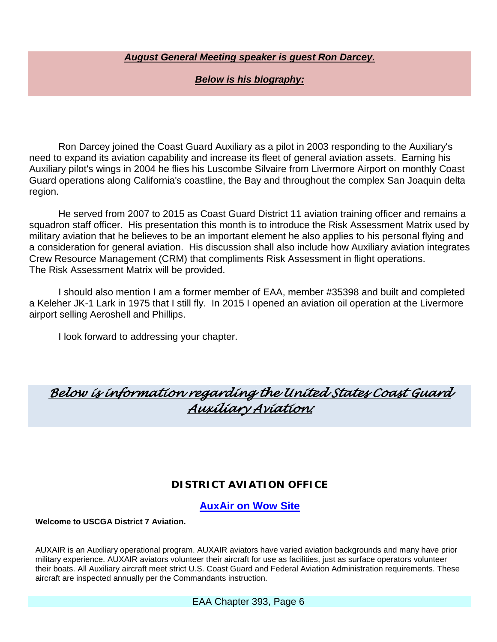### *August General Meeting speaker is guest Ron Darcey.*

### *Below is his biography:*

Ron Darcey joined the Coast Guard Auxiliary as a pilot in 2003 responding to the Auxiliary's need to expand its aviation capability and increase its fleet of general aviation assets. Earning his Auxiliary pilot's wings in 2004 he flies his Luscombe Silvaire from Livermore Airport on monthly Coast Guard operations along California's coastline, the Bay and throughout the complex San Joaquin delta region.

He served from 2007 to 2015 as Coast Guard District 11 aviation training officer and remains a squadron staff officer. His presentation this month is to introduce the Risk Assessment Matrix used by military aviation that he believes to be an important element he also applies to his personal flying and a consideration for general aviation. His discussion shall also include how Auxiliary aviation integrates Crew Resource Management (CRM) that compliments Risk Assessment in flight operations. The Risk Assessment Matrix will be provided.

I should also mention I am a former member of EAA, member #35398 and built and completed a Keleher JK-1 Lark in 1975 that I still fly. In 2015 I opened an aviation oil operation at the Livermore airport selling Aeroshell and Phillips.

I look forward to addressing your chapter.

## *Below is information regarding the United States Coast Guard Auxiliary Aviation:*

### **DISTRICT AVIATION OFFICE**

**[AuxAir on Wow Site](http://wow.uscgaux.info/content.php?unit=070&category=aux-air)**

**Welcome to USCGA District 7 Aviation.**

AUXAIR is an Auxiliary operational program. AUXAIR aviators have varied aviation backgrounds and many have prior military experience. AUXAIR aviators volunteer their aircraft for use as facilities, just as surface operators volunteer their boats. All Auxiliary aircraft meet strict U.S. Coast Guard and Federal Aviation Administration requirements. These aircraft are inspected annually per the Commandants instruction.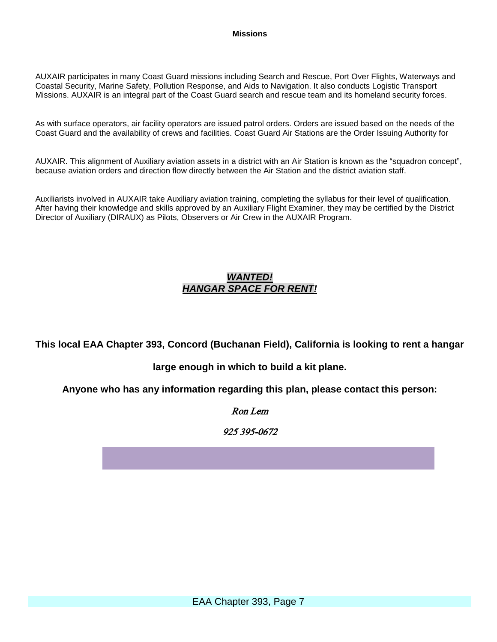#### **Missions**

AUXAIR participates in many Coast Guard missions including Search and Rescue, Port Over Flights, Waterways and Coastal Security, Marine Safety, Pollution Response, and Aids to Navigation. It also conducts Logistic Transport Missions. AUXAIR is an integral part of the Coast Guard search and rescue team and its homeland security forces.

As with surface operators, air facility operators are issued patrol orders. Orders are issued based on the needs of the Coast Guard and the availability of crews and facilities. Coast Guard Air Stations are the Order Issuing Authority for

AUXAIR. This alignment of Auxiliary aviation assets in a district with an Air Station is known as the "squadron concept", because aviation orders and direction flow directly between the Air Station and the district aviation staff.

Auxiliarists involved in AUXAIR take Auxiliary aviation training, completing the syllabus for their level of qualification. After having their knowledge and skills approved by an Auxiliary Flight Examiner, they may be certified by the District Director of Auxiliary (DIRAUX) as Pilots, Observers or Air Crew in the AUXAIR Program.

#### *WANTED! HANGAR SPACE FOR RENT!*

**This local EAA Chapter 393, Concord (Buchanan Field), California is looking to rent a hangar** 

### **large enough in which to build a kit plane.**

**Anyone who has any information regarding this plan, please contact this person:**

#### Ron Lem

925 395-0672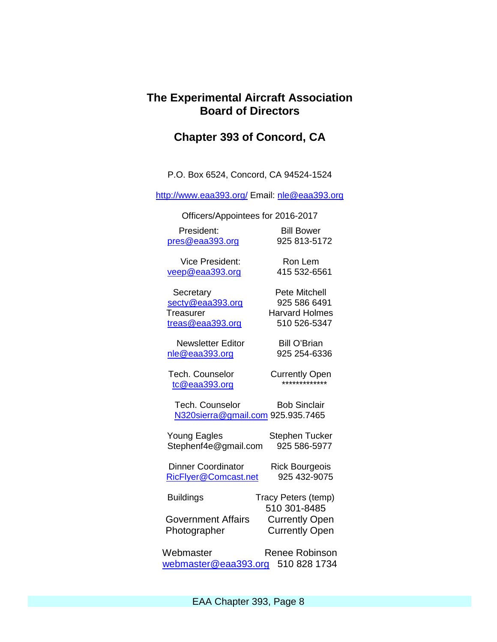### **The Experimental Aircraft Association Board of Directors**

### **Chapter 393 of Concord, CA**

P.O. Box 6524, Concord, CA 94524-1524

<http://www.eaa393.org/> Email: [nle@eaa393.org](mailto:nle@eaa393.org)

Officers/Appointees for 2016-2017

President: Bill Bower [pres@eaa393.org](mailto:pres@eaa393.org) 925 813-5172

Vice President: Ron Lem [veep@eaa393.org](mailto:veep@eaa393.org) 415 532-6561

Secretary **Pete Mitchell** [secty@eaa393.org](mailto:secty@eaa393.org) 925 586 6491 Treasurer **Harvard Holmes** [treas@eaa393.org](mailto:treas@eaa393.org) 510 526-5347

Newsletter Editor Bill O'Brian [nle@eaa393.org](mailto:nle@eaa393.org) 925 254-6336

 $tc@eaa393.$ org

Tech. Counselor **Currently Open** 

Tech. Counselor Bob Sinclair [N320sierra@gmail.com](mailto:N320sierra@gmail.com) 925.935.7465

Young Eagles **Stephen Tucker** Stephenf4e@gmail.com 925 586-5977

Dinner Coordinator Rick Bourgeois<br>RicFlyer@Comcast.net 925 432-9075 RicFlyer@Comcast.net

Buildings Tracy Peters (temp) 510 301-8485 Government Affairs Currently Open Photographer Currently Open

Webmaster Renee Robinson [webmaster@eaa393.org](mailto:webmaster@eaa393.org) 510 828 1734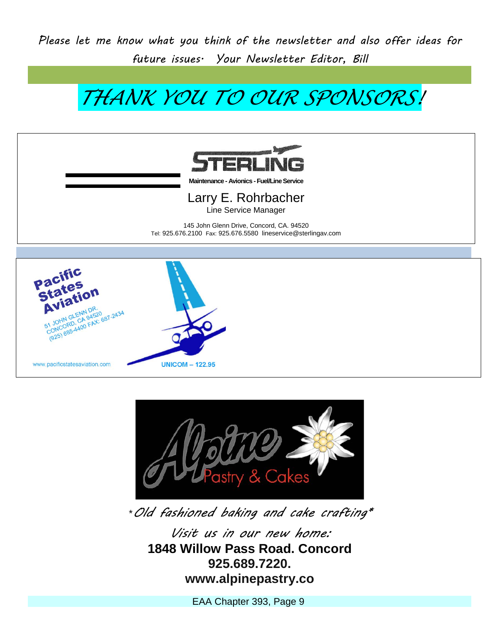*Please let me know what you think of the newsletter and also offer ideas for future issues. Your Newsletter Editor, Bill*

*THANK YOU TO OUR SPONSORS!*



**Maintenance - Avionics -Fuel/Line Service**

Larry E. Rohrbacher Line Service Manager

145 John Glenn Drive, Concord, CA. 94520 Tel: 925.676.2100 Fax: 925.676.5580 lineservice@sterlingav.com





\**Old fashioned baking and cake crafting\**

*Visit us in our new home:* **1848 Willow Pass Road. Concord 925.689.7220. www.alpinepastry.co**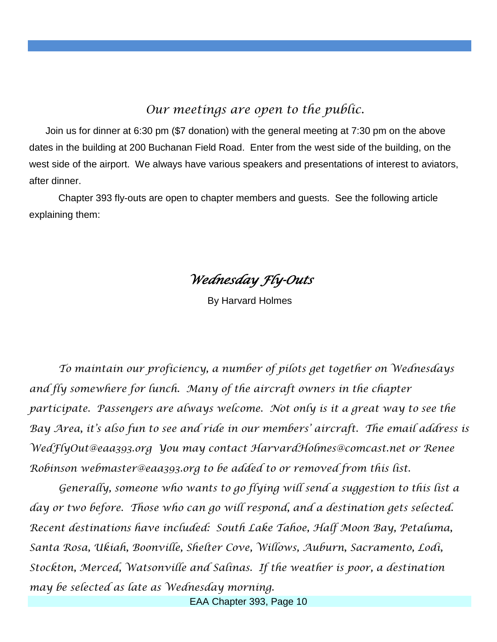## *Our meetings are open to the public.*

 Join us for dinner at 6:30 pm (\$7 donation) with the general meeting at 7:30 pm on the above dates in the building at 200 Buchanan Field Road. Enter from the west side of the building, on the west side of the airport. We always have various speakers and presentations of interest to aviators, after dinner.

 Chapter 393 fly-outs are open to chapter members and guests. See the following article explaining them:

*Wednesday Fly-Outs* 

By Harvard Holmes

*To maintain our proficiency, a number of pilots get together on Wednesdays and fly somewhere for lunch. Many of the aircraft owners in the chapter participate. Passengers are always welcome. Not only is it a great way to see the Bay Area, it's also fun to see and ride in our members' aircraft. The email address is WedFlyOut@eaa393.org You may contact HarvardHolmes@comcast.net or Renee Robinson webmaster@eaa393.org to be added to or removed from this list.* 

*Generally, someone who wants to go flying will send a suggestion to this list a day or two before. Those who can go will respond, and a destination gets selected. Recent destinations have included: South Lake Tahoe, Half Moon Bay, Petaluma, Santa Rosa, Ukiah, Boonville, Shelter Cove, Willows, Auburn, Sacramento, Lodi, Stockton, Merced, Watsonville and Salinas. If the weather is poor, a destination may be selected as late as Wednesday morning.*